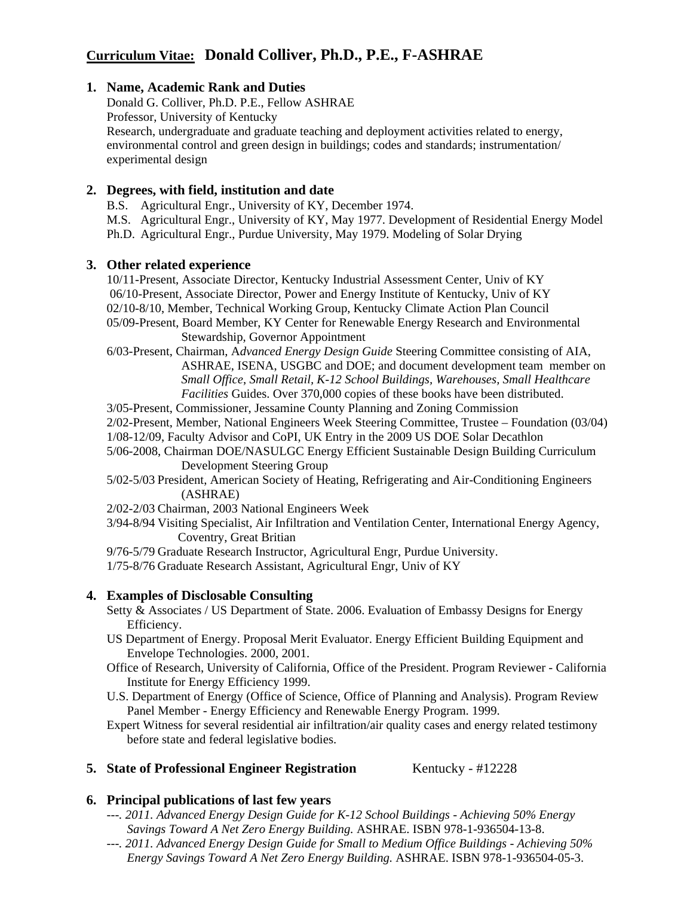# **Curriculum Vitae: Donald Colliver, Ph.D., P.E., F-ASHRAE**

# **1. Name, Academic Rank and Duties**

Donald G. Colliver, Ph.D. P.E., Fellow ASHRAE. Professor, University of Kentucky Research, undergraduate and graduate teaching and deployment activities related to energy, environmental control and green design in buildings; codes and standards; instrumentation/ experimental design

## **2. Degrees, with field, institution and date**

B.S. Agricultural Engr., University of KY, December 1974.

M.S. Agricultural Engr., University of KY, May 1977. Development of Residential Energy Model Ph.D. Agricultural Engr., Purdue University, May 1979. Modeling of Solar Drying

### **3. Other related experience**

10/11-Present, Associate Director, Kentucky Industrial Assessment Center, Univ of KY 06/10-Present, Associate Director, Power and Energy Institute of Kentucky, Univ of KY 02/10-8/10, Member, Technical Working Group, Kentucky Climate Action Plan Council 05/09-Present, Board Member, KY Center for Renewable Energy Research and Environmental Stewardship, Governor Appointment

6/03-Present, Chairman, A*dvanced Energy Design Guide* Steering Committee consisting of AIA, ASHRAE, ISENA, USGBC and DOE; and document development team member on *Small Office*, *Small Retail, K-12 School Buildings, Warehouses, Small Healthcare Facilities* Guides. Over 370,000 copies of these books have been distributed.

3/05-Present, Commissioner, Jessamine County Planning and Zoning Commission

2/02-Present, Member, National Engineers Week Steering Committee, Trustee – Foundation (03/04)

1/08-12/09, Faculty Advisor and CoPI, UK Entry in the 2009 US DOE Solar Decathlon

5/06-2008, Chairman DOE/NASULGC Energy Efficient Sustainable Design Building Curriculum Development Steering Group

 5/02-5/03 President, American Society of Heating, Refrigerating and Air-Conditioning Engineers (ASHRAE)

2/02-2/03 Chairman, 2003 National Engineers Week

3/94-8/94 Visiting Specialist, Air Infiltration and Ventilation Center, International Energy Agency, Coventry, Great Britian

9/76-5/79 Graduate Research Instructor, Agricultural Engr, Purdue University.

1/75-8/76 Graduate Research Assistant, Agricultural Engr, Univ of KY

### **4. Examples of Disclosable Consulting**

Setty & Associates / US Department of State. 2006. Evaluation of Embassy Designs for Energy Efficiency.

- US Department of Energy. Proposal Merit Evaluator. Energy Efficient Building Equipment and Envelope Technologies. 2000, 2001.
- Office of Research, University of California, Office of the President. Program Reviewer California Institute for Energy Efficiency 1999.
- U.S. Department of Energy (Office of Science, Office of Planning and Analysis). Program Review Panel Member - Energy Efficiency and Renewable Energy Program. 1999.
- Expert Witness for several residential air infiltration/air quality cases and energy related testimony before state and federal legislative bodies.

### **5. State of Professional Engineer Registration** Kentucky - #12228

# **6. Principal publications of last few years**

- *---. 2011. Advanced Energy Design Guide for K-12 School Buildings Achieving 50% Energy Savings Toward A Net Zero Energy Building.* ASHRAE. ISBN 978-1-936504-13-8.
- *---. 2011. Advanced Energy Design Guide for Small to Medium Office Buildings Achieving 50% Energy Savings Toward A Net Zero Energy Building.* ASHRAE. ISBN 978-1-936504-05-3.